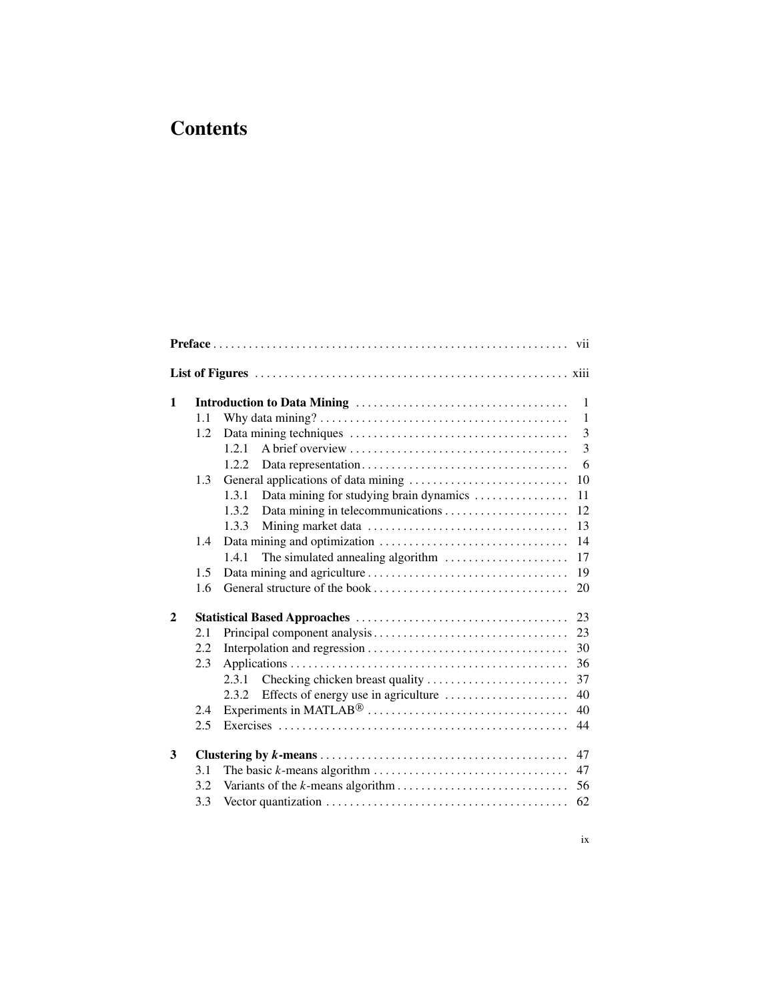## **Contents**

|              | 1.1 |                                                  | $\mathbf{1}$ |  |  |  |  |
|--------------|-----|--------------------------------------------------|--------------|--|--|--|--|
|              | 1.2 |                                                  | 3            |  |  |  |  |
|              |     | 1.2.1                                            | 3            |  |  |  |  |
|              |     | 1.2.2                                            | 6            |  |  |  |  |
|              | 1.3 |                                                  | 10           |  |  |  |  |
|              |     | 1.3.1<br>Data mining for studying brain dynamics | 11           |  |  |  |  |
|              |     | 1.3.2                                            | 12           |  |  |  |  |
|              |     | 1.3.3                                            | 13           |  |  |  |  |
|              | 1.4 |                                                  | 14           |  |  |  |  |
|              |     | 1.4.1<br>The simulated annealing algorithm       | 17           |  |  |  |  |
|              | 1.5 |                                                  | 19           |  |  |  |  |
|              | 1.6 |                                                  | 20           |  |  |  |  |
| $\mathbf{2}$ |     |                                                  | 23           |  |  |  |  |
|              | 2.1 |                                                  | 23           |  |  |  |  |
|              | 2.2 |                                                  | 30           |  |  |  |  |
|              | 2.3 |                                                  | 36           |  |  |  |  |
|              |     | 2.3.1                                            | 37           |  |  |  |  |
|              |     | Effects of energy use in agriculture<br>2.3.2.   | 40           |  |  |  |  |
|              | 2.4 |                                                  | 40           |  |  |  |  |
|              | 2.5 |                                                  | 44           |  |  |  |  |
| 3            |     |                                                  | 47           |  |  |  |  |
|              | 3.1 |                                                  | 47           |  |  |  |  |
|              | 3.2 |                                                  | 56           |  |  |  |  |
|              | 3.3 |                                                  | 62           |  |  |  |  |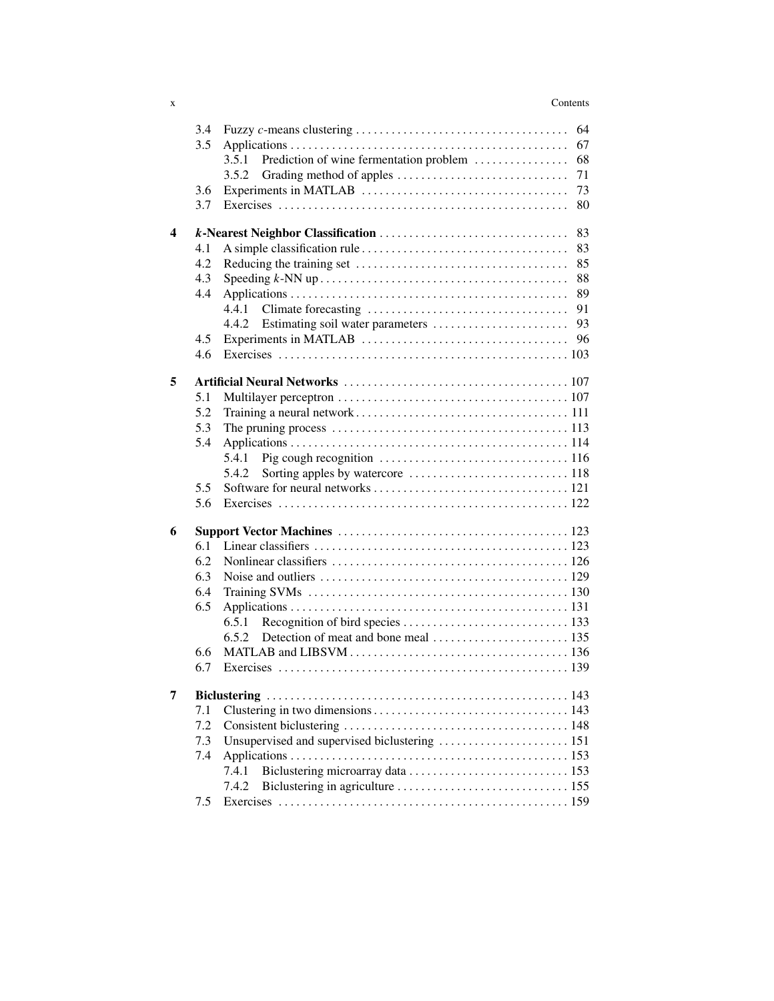## x Contents

|   | 3.4 | 64                                                     |  |  |  |
|---|-----|--------------------------------------------------------|--|--|--|
|   | 3.5 | 67                                                     |  |  |  |
|   |     | Prediction of wine fermentation problem<br>68<br>3.5.1 |  |  |  |
|   |     | 3.5.2<br>71                                            |  |  |  |
|   | 3.6 | 73                                                     |  |  |  |
|   | 3.7 | 80                                                     |  |  |  |
| 4 |     | 83                                                     |  |  |  |
|   | 4.1 | 83                                                     |  |  |  |
|   | 4.2 | 85                                                     |  |  |  |
|   | 4.3 | 88                                                     |  |  |  |
|   | 4.4 | 89                                                     |  |  |  |
|   |     | 4.4.1<br>91                                            |  |  |  |
|   |     | 93<br>4.4.2                                            |  |  |  |
|   | 4.5 | 96                                                     |  |  |  |
|   | 4.6 |                                                        |  |  |  |
| 5 |     |                                                        |  |  |  |
|   | 5.1 |                                                        |  |  |  |
|   | 5.2 |                                                        |  |  |  |
|   | 5.3 |                                                        |  |  |  |
|   | 5.4 |                                                        |  |  |  |
|   |     | 5.4.1                                                  |  |  |  |
|   |     | 5.4.2                                                  |  |  |  |
|   | 5.5 |                                                        |  |  |  |
|   | 5.6 |                                                        |  |  |  |
| 6 |     |                                                        |  |  |  |
|   | 6.1 |                                                        |  |  |  |
|   | 6.2 |                                                        |  |  |  |
|   | 6.3 |                                                        |  |  |  |
|   | 6.4 |                                                        |  |  |  |
|   | 6.5 |                                                        |  |  |  |
|   |     | 6.5.1                                                  |  |  |  |
|   |     | 6.5.2                                                  |  |  |  |
|   | 6.6 |                                                        |  |  |  |
|   | 6.7 |                                                        |  |  |  |
| 7 |     |                                                        |  |  |  |
|   | 7.1 |                                                        |  |  |  |
|   | 7.2 |                                                        |  |  |  |
|   | 7.3 | Unsupervised and supervised biclustering  151          |  |  |  |
|   | 7.4 |                                                        |  |  |  |
|   |     | 7.4.1                                                  |  |  |  |
|   |     | 7.4.2                                                  |  |  |  |
|   | 7.5 |                                                        |  |  |  |